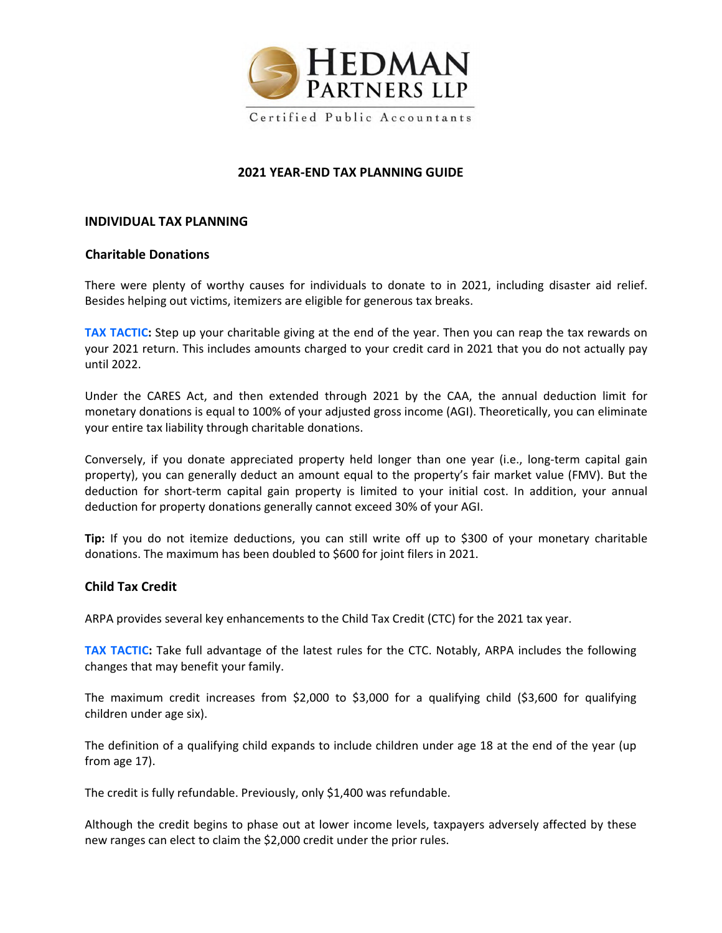

# **2021 YEAR‐END TAX PLANNING GUIDE**

#### **INDIVIDUAL TAX PLANNING**

## **Charitable Donations**

There were plenty of worthy causes for individuals to donate to in 2021, including disaster aid relief. Besides helping out victims, itemizers are eligible for generous tax breaks.

**TAX TACTIC:** Step up your charitable giving at the end of the year. Then you can reap the tax rewards on your 2021 return. This includes amounts charged to your credit card in 2021 that you do not actually pay until 2022.

Under the CARES Act, and then extended through 2021 by the CAA, the annual deduction limit for monetary donations is equal to 100% of your adjusted gross income (AGI). Theoretically, you can eliminate your entire tax liability through charitable donations.

Conversely, if you donate appreciated property held longer than one year (i.e., long‐term capital gain property), you can generally deduct an amount equal to the property's fair market value (FMV). But the deduction for short-term capital gain property is limited to your initial cost. In addition, your annual deduction for property donations generally cannot exceed 30% of your AGI.

**Tip:** If you do not itemize deductions, you can still write off up to \$300 of your monetary charitable donations. The maximum has been doubled to \$600 for joint filers in 2021.

## **Child Tax Credit**

ARPA provides several key enhancements to the Child Tax Credit (CTC) for the 2021 tax year.

**TAX TACTIC:** Take full advantage of the latest rules for the CTC. Notably, ARPA includes the following changes that may benefit your family.

The maximum credit increases from \$2,000 to \$3,000 for a qualifying child (\$3,600 for qualifying children under age six).

The definition of a qualifying child expands to include children under age 18 at the end of the year (up from age 17).

The credit is fully refundable. Previously, only \$1,400 was refundable.

Although the credit begins to phase out at lower income levels, taxpayers adversely affected by these new ranges can elect to claim the \$2,000 credit under the prior rules.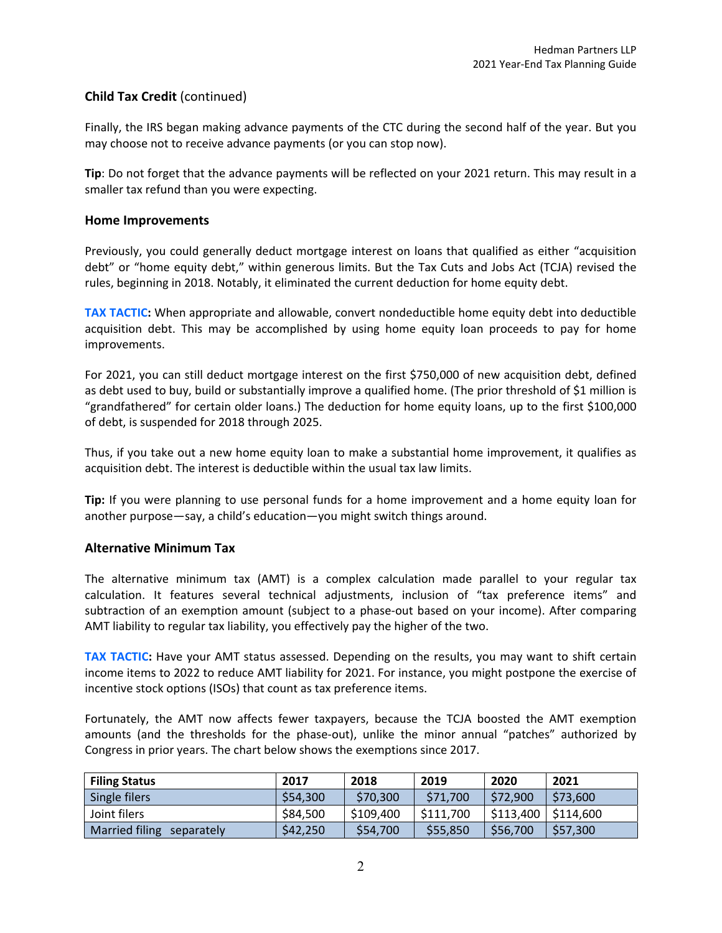# **Child Tax Credit** (continued)

Finally, the IRS began making advance payments of the CTC during the second half of the year. But you may choose not to receive advance payments (or you can stop now).

**Tip**: Do not forget that the advance payments will be reflected on your 2021 return. This may result in a smaller tax refund than you were expecting.

## **Home Improvements**

Previously, you could generally deduct mortgage interest on loans that qualified as either "acquisition debt" or "home equity debt," within generous limits. But the Tax Cuts and Jobs Act (TCJA) revised the rules, beginning in 2018. Notably, it eliminated the current deduction for home equity debt.

**TAX TACTIC:** When appropriate and allowable, convert nondeductible home equity debt into deductible acquisition debt. This may be accomplished by using home equity loan proceeds to pay for home improvements.

For 2021, you can still deduct mortgage interest on the first \$750,000 of new acquisition debt, defined as debt used to buy, build or substantially improve a qualified home. (The prior threshold of \$1 million is "grandfathered" for certain older loans.) The deduction for home equity loans, up to the first \$100,000 of debt, is suspended for 2018 through 2025.

Thus, if you take out a new home equity loan to make a substantial home improvement, it qualifies as acquisition debt. The interest is deductible within the usual tax law limits.

**Tip:** If you were planning to use personal funds for a home improvement and a home equity loan for another purpose—say, a child's education—you might switch things around.

## **Alternative Minimum Tax**

The alternative minimum tax (AMT) is a complex calculation made parallel to your regular tax calculation. It features several technical adjustments, inclusion of "tax preference items" and subtraction of an exemption amount (subject to a phase-out based on your income). After comparing AMT liability to regular tax liability, you effectively pay the higher of the two.

**TAX TACTIC:** Have your AMT status assessed. Depending on the results, you may want to shift certain income items to 2022 to reduce AMT liability for 2021. For instance, you might postpone the exercise of incentive stock options (ISOs) that count as tax preference items.

Fortunately, the AMT now affects fewer taxpayers, because the TCJA boosted the AMT exemption amounts (and the thresholds for the phase-out), unlike the minor annual "patches" authorized by Congress in prior years. The chart below shows the exemptions since 2017.

| <b>Filing Status</b>      | 2017     | 2018      | 2019      | 2020      | 2021      |
|---------------------------|----------|-----------|-----------|-----------|-----------|
| Single filers             | \$54,300 | \$70,300  | \$71,700  | \$72.900  | \$73,600  |
| Joint filers              | \$84,500 | \$109,400 | \$111,700 | \$113,400 | \$114,600 |
| Married filing separately | \$42,250 | \$54,700  | \$55,850  | \$56,700  | \$57,300  |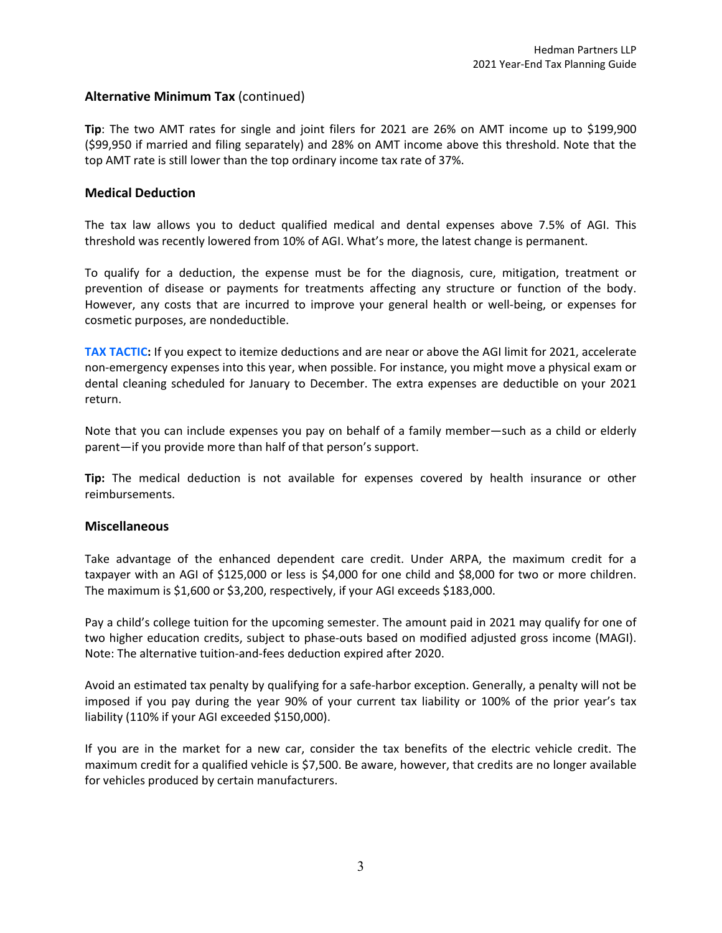# **Alternative Minimum Tax** (continued)

**Tip**: The two AMT rates for single and joint filers for 2021 are 26% on AMT income up to \$199,900 (\$99,950 if married and filing separately) and 28% on AMT income above this threshold. Note that the top AMT rate is still lower than the top ordinary income tax rate of 37%.

## **Medical Deduction**

The tax law allows you to deduct qualified medical and dental expenses above 7.5% of AGI. This threshold was recently lowered from 10% of AGI. What's more, the latest change is permanent.

To qualify for a deduction, the expense must be for the diagnosis, cure, mitigation, treatment or prevention of disease or payments for treatments affecting any structure or function of the body. However, any costs that are incurred to improve your general health or well‐being, or expenses for cosmetic purposes, are nondeductible.

**TAX TACTIC:** If you expect to itemize deductions and are near or above the AGI limit for 2021, accelerate non‐emergency expenses into this year, when possible. For instance, you might move a physical exam or dental cleaning scheduled for January to December. The extra expenses are deductible on your 2021 return.

Note that you can include expenses you pay on behalf of a family member—such as a child or elderly parent—if you provide more than half of that person's support.

**Tip:** The medical deduction is not available for expenses covered by health insurance or other reimbursements.

#### **Miscellaneous**

Take advantage of the enhanced dependent care credit. Under ARPA, the maximum credit for a taxpayer with an AGI of \$125,000 or less is \$4,000 for one child and \$8,000 for two or more children. The maximum is \$1,600 or \$3,200, respectively, if your AGI exceeds \$183,000.

Pay a child's college tuition for the upcoming semester. The amount paid in 2021 may qualify for one of two higher education credits, subject to phase‐outs based on modified adjusted gross income (MAGI). Note: The alternative tuition‐and‐fees deduction expired after 2020.

Avoid an estimated tax penalty by qualifying for a safe‐harbor exception. Generally, a penalty will not be imposed if you pay during the year 90% of your current tax liability or 100% of the prior year's tax liability (110% if your AGI exceeded \$150,000).

If you are in the market for a new car, consider the tax benefits of the electric vehicle credit. The maximum credit for a qualified vehicle is \$7,500. Be aware, however, that credits are no longer available for vehicles produced by certain manufacturers.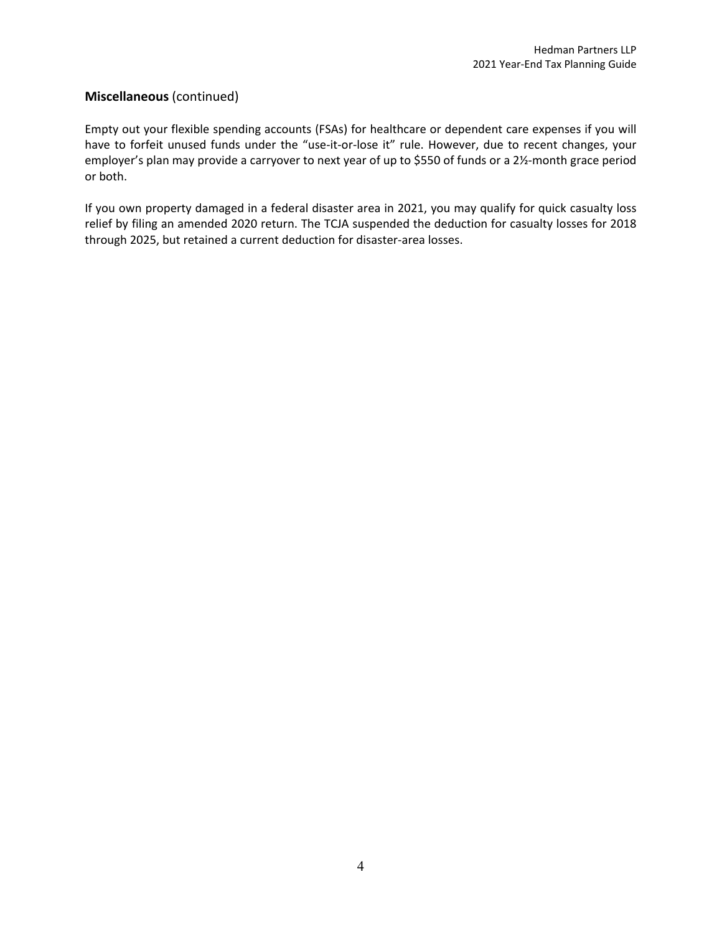# **Miscellaneous** (continued)

Empty out your flexible spending accounts (FSAs) for healthcare or dependent care expenses if you will have to forfeit unused funds under the "use-it-or-lose it" rule. However, due to recent changes, your employer's plan may provide a carryover to next year of up to \$550 of funds or a 2½‐month grace period or both.

If you own property damaged in a federal disaster area in 2021, you may qualify for quick casualty loss relief by filing an amended 2020 return. The TCJA suspended the deduction for casualty losses for 2018 through 2025, but retained a current deduction for disaster‐area losses.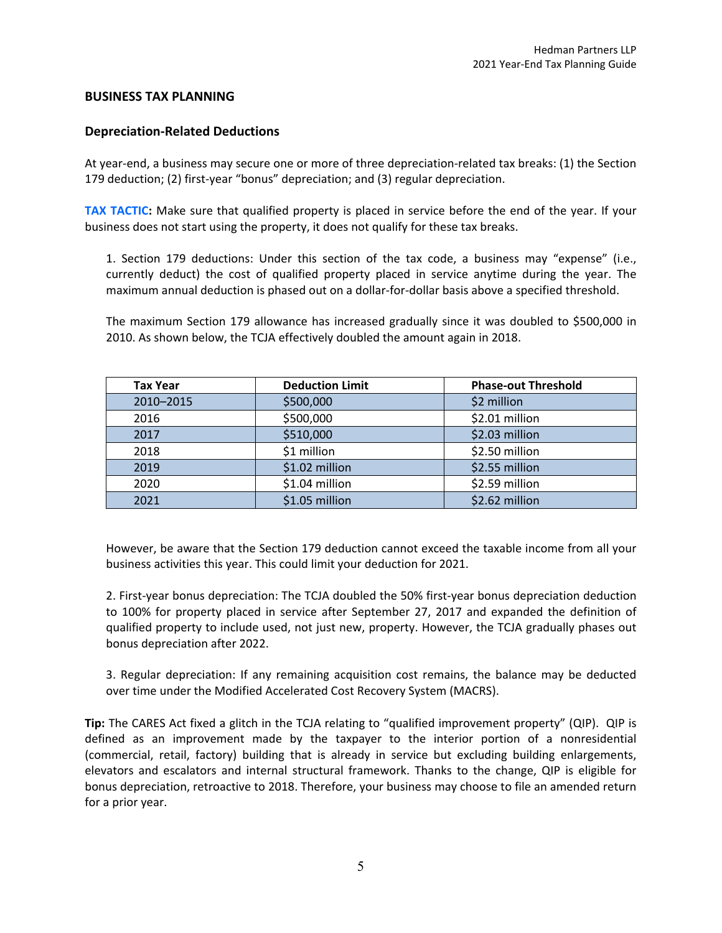## **BUSINESS TAX PLANNING**

### **Depreciation‐Related Deductions**

At year-end, a business may secure one or more of three depreciation-related tax breaks: (1) the Section 179 deduction; (2) first‐year "bonus" depreciation; and (3) regular depreciation.

**TAX TACTIC:** Make sure that qualified property is placed in service before the end of the year. If your business does not start using the property, it does not qualify for these tax breaks.

1. Section 179 deductions: Under this section of the tax code, a business may "expense" (i.e., currently deduct) the cost of qualified property placed in service anytime during the year. The maximum annual deduction is phased out on a dollar‐for‐dollar basis above a specified threshold.

The maximum Section 179 allowance has increased gradually since it was doubled to \$500,000 in 2010. As shown below, the TCJA effectively doubled the amount again in 2018.

| <b>Tax Year</b> | <b>Deduction Limit</b> | <b>Phase-out Threshold</b> |
|-----------------|------------------------|----------------------------|
| 2010-2015       | \$500,000              | \$2 million                |
| 2016            | \$500,000              | \$2.01 million             |
| 2017            | \$510,000              | \$2.03 million             |
| 2018            | \$1 million            | \$2.50 million             |
| 2019            | \$1.02 million         | \$2.55 million             |
| 2020            | \$1.04 million         | \$2.59 million             |
| 2021            | \$1.05 million         | \$2.62 million             |

However, be aware that the Section 179 deduction cannot exceed the taxable income from all your business activities this year. This could limit your deduction for 2021.

2. First-year bonus depreciation: The TCJA doubled the 50% first-year bonus depreciation deduction to 100% for property placed in service after September 27, 2017 and expanded the definition of qualified property to include used, not just new, property. However, the TCJA gradually phases out bonus depreciation after 2022.

3. Regular depreciation: If any remaining acquisition cost remains, the balance may be deducted over time under the Modified Accelerated Cost Recovery System (MACRS).

**Tip:** The CARES Act fixed a glitch in the TCJA relating to "qualified improvement property" (QIP). QIP is defined as an improvement made by the taxpayer to the interior portion of a nonresidential (commercial, retail, factory) building that is already in service but excluding building enlargements, elevators and escalators and internal structural framework. Thanks to the change, QIP is eligible for bonus depreciation, retroactive to 2018. Therefore, your business may choose to file an amended return for a prior year.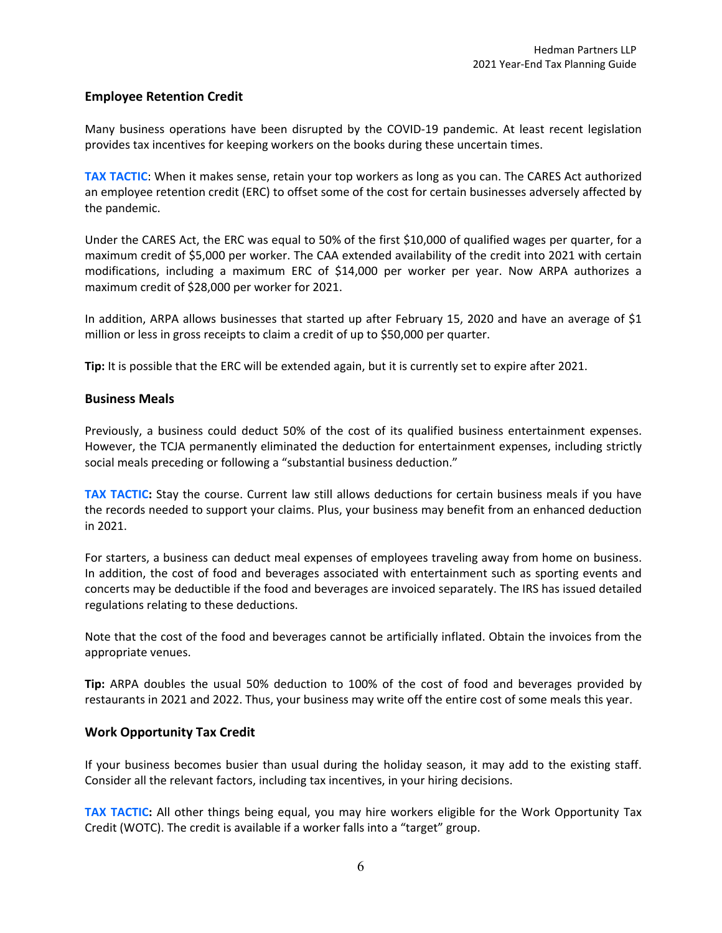# **Employee Retention Credit**

Many business operations have been disrupted by the COVID‐19 pandemic. At least recent legislation provides tax incentives for keeping workers on the books during these uncertain times.

**TAX TACTIC**: When it makes sense, retain your top workers as long as you can. The CARES Act authorized an employee retention credit (ERC) to offset some of the cost for certain businesses adversely affected by the pandemic.

Under the CARES Act, the ERC was equal to 50% of the first \$10,000 of qualified wages per quarter, for a maximum credit of \$5,000 per worker. The CAA extended availability of the credit into 2021 with certain modifications, including a maximum ERC of \$14,000 per worker per year. Now ARPA authorizes a maximum credit of \$28,000 per worker for 2021.

In addition, ARPA allows businesses that started up after February 15, 2020 and have an average of \$1 million or less in gross receipts to claim a credit of up to \$50,000 per quarter.

**Tip:** It is possible that the ERC will be extended again, but it is currently set to expire after 2021.

### **Business Meals**

Previously, a business could deduct 50% of the cost of its qualified business entertainment expenses. However, the TCJA permanently eliminated the deduction for entertainment expenses, including strictly social meals preceding or following a "substantial business deduction."

**TAX TACTIC:** Stay the course. Current law still allows deductions for certain business meals if you have the records needed to support your claims. Plus, your business may benefit from an enhanced deduction in 2021.

For starters, a business can deduct meal expenses of employees traveling away from home on business. In addition, the cost of food and beverages associated with entertainment such as sporting events and concerts may be deductible if the food and beverages are invoiced separately. The IRS has issued detailed regulations relating to these deductions.

Note that the cost of the food and beverages cannot be artificially inflated. Obtain the invoices from the appropriate venues.

**Tip:** ARPA doubles the usual 50% deduction to 100% of the cost of food and beverages provided by restaurants in 2021 and 2022. Thus, your business may write off the entire cost of some meals this year.

## **Work Opportunity Tax Credit**

If your business becomes busier than usual during the holiday season, it may add to the existing staff. Consider all the relevant factors, including tax incentives, in your hiring decisions.

**TAX TACTIC:** All other things being equal, you may hire workers eligible for the Work Opportunity Tax Credit (WOTC). The credit is available if a worker falls into a "target" group.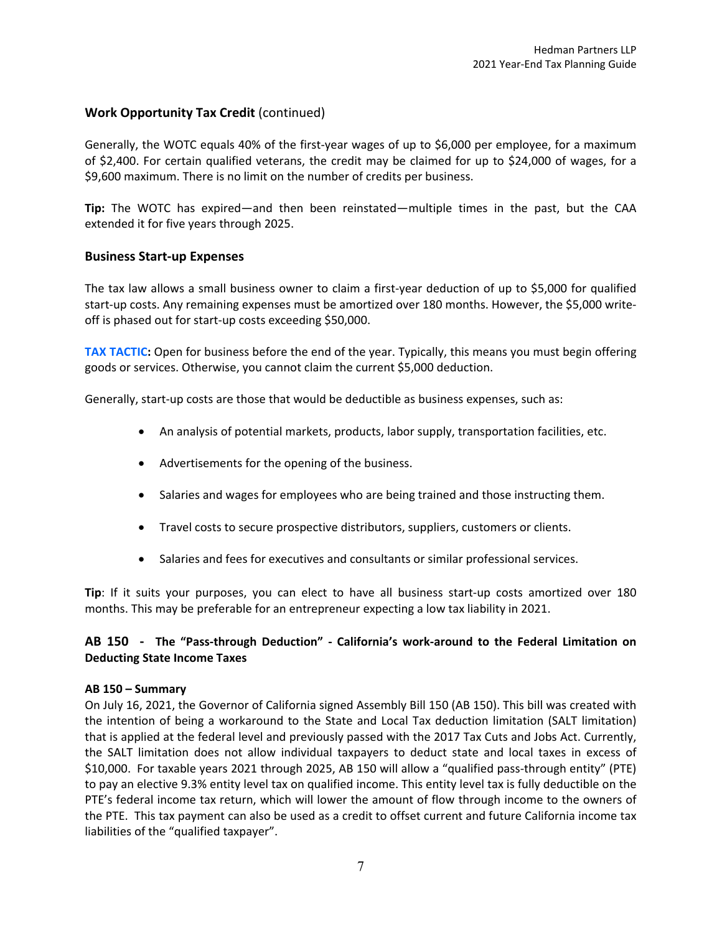# **Work Opportunity Tax Credit** (continued)

Generally, the WOTC equals 40% of the first-year wages of up to \$6,000 per employee, for a maximum of \$2,400. For certain qualified veterans, the credit may be claimed for up to \$24,000 of wages, for a \$9,600 maximum. There is no limit on the number of credits per business.

**Tip:** The WOTC has expired—and then been reinstated—multiple times in the past, but the CAA extended it for five years through 2025.

## **Business Start‐up Expenses**

The tax law allows a small business owner to claim a first‐year deduction of up to \$5,000 for qualified start-up costs. Any remaining expenses must be amortized over 180 months. However, the \$5,000 writeoff is phased out for start‐up costs exceeding \$50,000.

**TAX TACTIC:** Open for business before the end of the year. Typically, this means you must begin offering goods or services. Otherwise, you cannot claim the current \$5,000 deduction.

Generally, start‐up costs are those that would be deductible as business expenses, such as:

- An analysis of potential markets, products, labor supply, transportation facilities, etc.
- Advertisements for the opening of the business.
- Salaries and wages for employees who are being trained and those instructing them.
- Travel costs to secure prospective distributors, suppliers, customers or clients.
- Salaries and fees for executives and consultants or similar professional services.

**Tip**: If it suits your purposes, you can elect to have all business start‐up costs amortized over 180 months. This may be preferable for an entrepreneur expecting a low tax liability in 2021.

## AB 150 - The "Pass-through Deduction" - California's work-around to the Federal Limitation on **Deducting State Income Taxes**

#### **AB 150 – Summary**

On July 16, 2021, the Governor of California signed Assembly Bill 150 (AB 150). This bill was created with the intention of being a workaround to the State and Local Tax deduction limitation (SALT limitation) that is applied at the federal level and previously passed with the 2017 Tax Cuts and Jobs Act. Currently, the SALT limitation does not allow individual taxpayers to deduct state and local taxes in excess of \$10,000. For taxable years 2021 through 2025, AB 150 will allow a "qualified pass‐through entity" (PTE) to pay an elective 9.3% entity level tax on qualified income. This entity level tax is fully deductible on the PTE's federal income tax return, which will lower the amount of flow through income to the owners of the PTE. This tax payment can also be used as a credit to offset current and future California income tax liabilities of the "qualified taxpayer".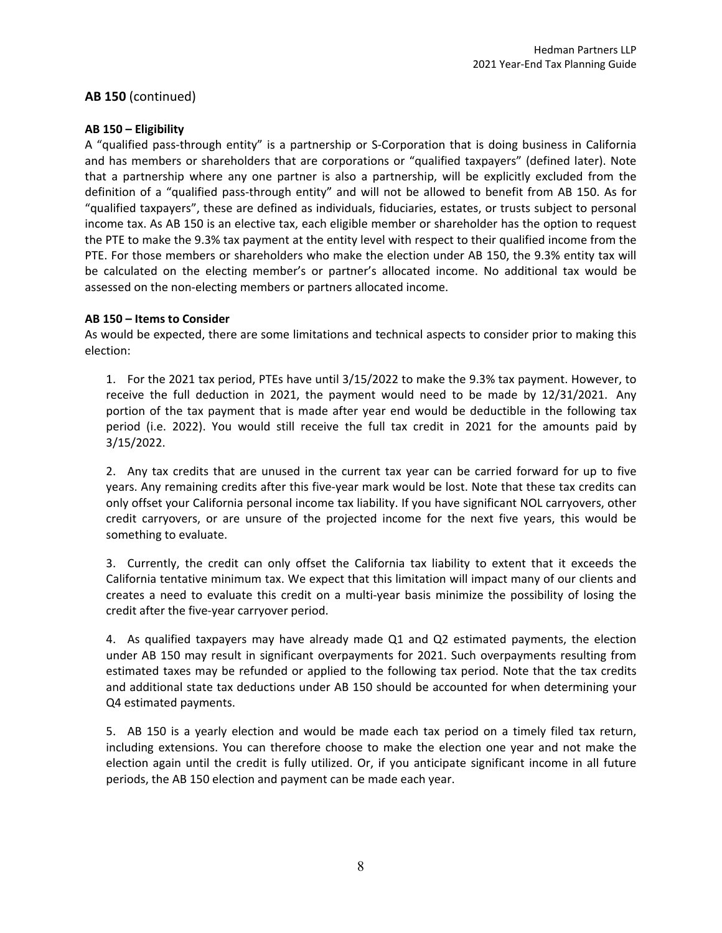## **AB 150** (continued)

### **AB 150 – Eligibility**

A "qualified pass‐through entity" is a partnership or S‐Corporation that is doing business in California and has members or shareholders that are corporations or "qualified taxpayers" (defined later). Note that a partnership where any one partner is also a partnership, will be explicitly excluded from the definition of a "qualified pass‐through entity" and will not be allowed to benefit from AB 150. As for "qualified taxpayers", these are defined as individuals, fiduciaries, estates, or trusts subject to personal income tax. As AB 150 is an elective tax, each eligible member or shareholder has the option to request the PTE to make the 9.3% tax payment at the entity level with respect to their qualified income from the PTE. For those members or shareholders who make the election under AB 150, the 9.3% entity tax will be calculated on the electing member's or partner's allocated income. No additional tax would be assessed on the non‐electing members or partners allocated income.

### **AB 150 – Items to Consider**

As would be expected, there are some limitations and technical aspects to consider prior to making this election:

1. For the 2021 tax period, PTEs have until 3/15/2022 to make the 9.3% tax payment. However, to receive the full deduction in 2021, the payment would need to be made by 12/31/2021. Any portion of the tax payment that is made after year end would be deductible in the following tax period (i.e. 2022). You would still receive the full tax credit in 2021 for the amounts paid by 3/15/2022.

2. Any tax credits that are unused in the current tax year can be carried forward for up to five years. Any remaining credits after this five‐year mark would be lost. Note that these tax credits can only offset your California personal income tax liability. If you have significant NOL carryovers, other credit carryovers, or are unsure of the projected income for the next five years, this would be something to evaluate.

3. Currently, the credit can only offset the California tax liability to extent that it exceeds the California tentative minimum tax. We expect that this limitation will impact many of our clients and creates a need to evaluate this credit on a multi‐year basis minimize the possibility of losing the credit after the five‐year carryover period.

4. As qualified taxpayers may have already made Q1 and Q2 estimated payments, the election under AB 150 may result in significant overpayments for 2021. Such overpayments resulting from estimated taxes may be refunded or applied to the following tax period. Note that the tax credits and additional state tax deductions under AB 150 should be accounted for when determining your Q4 estimated payments.

5. AB 150 is a yearly election and would be made each tax period on a timely filed tax return, including extensions. You can therefore choose to make the election one year and not make the election again until the credit is fully utilized. Or, if you anticipate significant income in all future periods, the AB 150 election and payment can be made each year.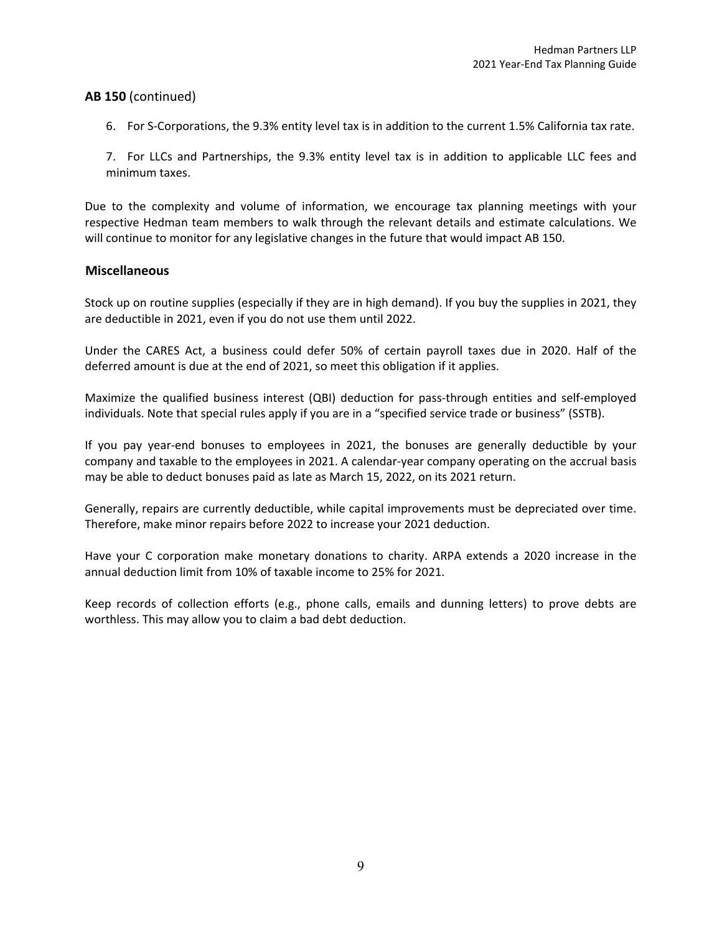## **AB 150** (continued)

6. For S‐Corporations, the 9.3% entity level tax is in addition to the current 1.5% California tax rate.

7. For LLCs and Partnerships, the 9.3% entity level tax is in addition to applicable LLC fees and minimum taxes.

Due to the complexity and volume of information, we encourage tax planning meetings with your respective Hedman team members to walk through the relevant details and estimate calculations. We will continue to monitor for any legislative changes in the future that would impact AB 150.

### **Miscellaneous**

Stock up on routine supplies (especially if they are in high demand). If you buy the supplies in 2021, they are deductible in 2021, even if you do not use them until 2022.

Under the CARES Act, a business could defer 50% of certain payroll taxes due in 2020. Half of the deferred amount is due at the end of 2021, so meet this obligation if it applies.

Maximize the qualified business interest (QBI) deduction for pass-through entities and self-employed individuals. Note that special rules apply if you are in a "specified service trade or business" (SSTB).

If you pay year-end bonuses to employees in 2021, the bonuses are generally deductible by your company and taxable to the employees in 2021. A calendar‐year company operating on the accrual basis may be able to deduct bonuses paid as late as March 15, 2022, on its 2021 return.

Generally, repairs are currently deductible, while capital improvements must be depreciated over time. Therefore, make minor repairs before 2022 to increase your 2021 deduction.

Have your C corporation make monetary donations to charity. ARPA extends a 2020 increase in the annual deduction limit from 10% of taxable income to 25% for 2021.

Keep records of collection efforts (e.g., phone calls, emails and dunning letters) to prove debts are worthless. This may allow you to claim a bad debt deduction.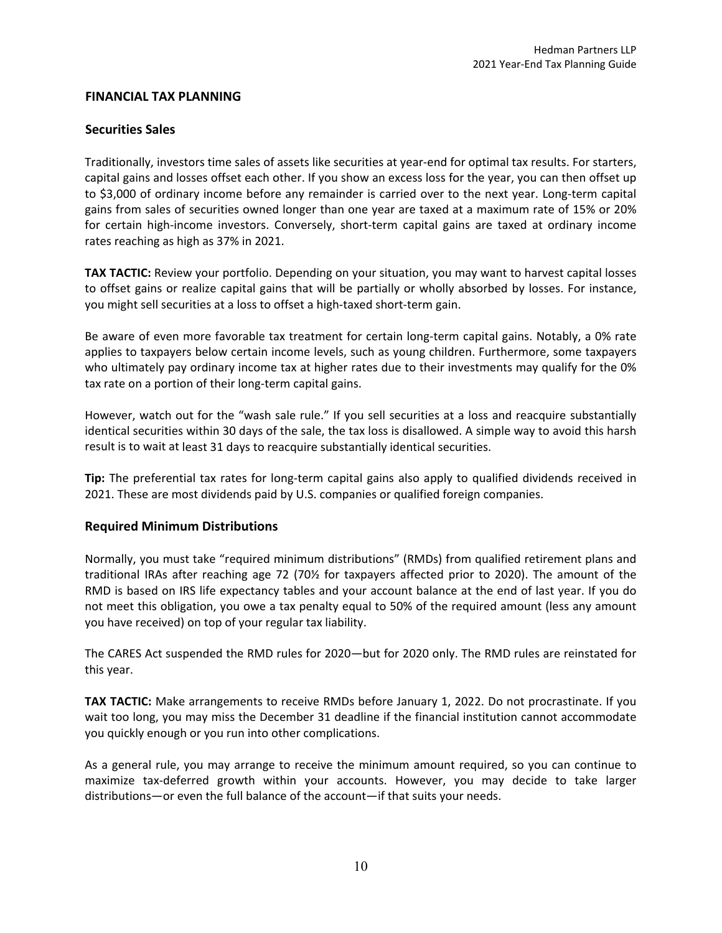## **FINANCIAL TAX PLANNING**

## **Securities Sales**

Traditionally, investors time sales of assets like securities at year‐end for optimal tax results. For starters, capital gains and losses offset each other. If you show an excess loss for the year, you can then offset up to \$3,000 of ordinary income before any remainder is carried over to the next year. Long-term capital gains from sales of securities owned longer than one year are taxed at a maximum rate of 15% or 20% for certain high-income investors. Conversely, short-term capital gains are taxed at ordinary income rates reaching as high as 37% in 2021.

**TAX TACTIC:** Review your portfolio. Depending on your situation, you may want to harvest capital losses to offset gains or realize capital gains that will be partially or wholly absorbed by losses. For instance, you might sell securities at a loss to offset a high‐taxed short‐term gain.

Be aware of even more favorable tax treatment for certain long-term capital gains. Notably, a 0% rate applies to taxpayers below certain income levels, such as young children. Furthermore, some taxpayers who ultimately pay ordinary income tax at higher rates due to their investments may qualify for the 0% tax rate on a portion of their long-term capital gains.

However, watch out for the "wash sale rule." If you sell securities at a loss and reacquire substantially identical securities within 30 days of the sale, the tax loss is disallowed. A simple way to avoid this harsh result is to wait at least 31 days to reacquire substantially identical securities.

**Tip:** The preferential tax rates for long-term capital gains also apply to qualified dividends received in 2021. These are most dividends paid by U.S. companies or qualified foreign companies.

## **Required Minimum Distributions**

Normally, you must take "required minimum distributions" (RMDs) from qualified retirement plans and traditional IRAs after reaching age 72 (70½ for taxpayers affected prior to 2020). The amount of the RMD is based on IRS life expectancy tables and your account balance at the end of last year. If you do not meet this obligation, you owe a tax penalty equal to 50% of the required amount (less any amount you have received) on top of your regular tax liability.

The CARES Act suspended the RMD rules for 2020—but for 2020 only. The RMD rules are reinstated for this year.

**TAX TACTIC:** Make arrangements to receive RMDs before January 1, 2022. Do not procrastinate. If you wait too long, you may miss the December 31 deadline if the financial institution cannot accommodate you quickly enough or you run into other complications.

As a general rule, you may arrange to receive the minimum amount required, so you can continue to maximize tax‐deferred growth within your accounts. However, you may decide to take larger distributions—or even the full balance of the account—if that suits your needs.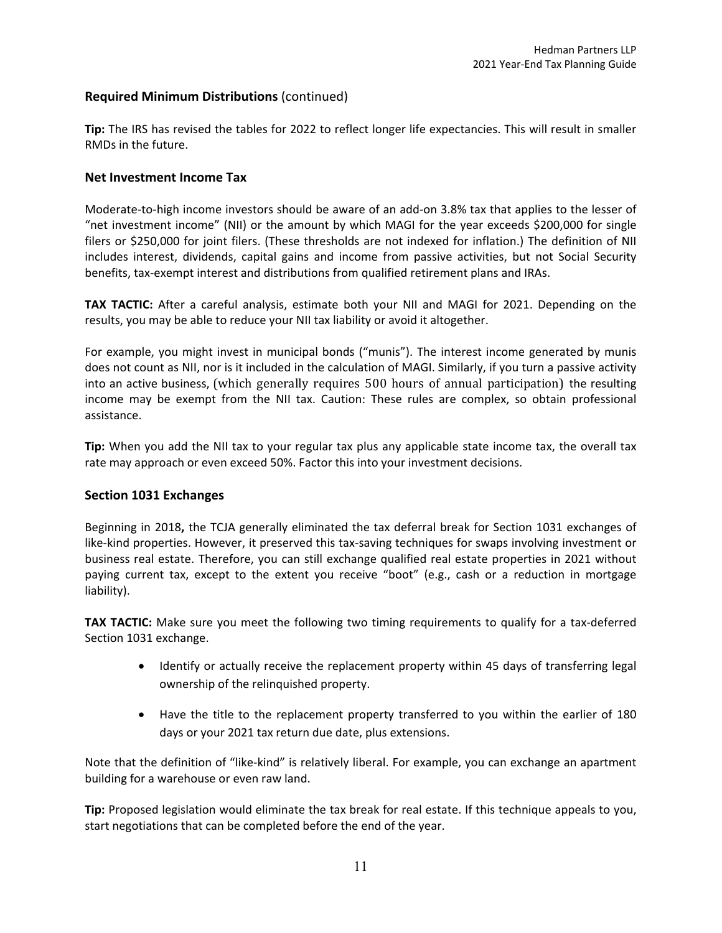# **Required Minimum Distributions** (continued)

**Tip:** The IRS has revised the tables for 2022 to reflect longer life expectancies. This will result in smaller RMDs in the future.

## **Net Investment Income Tax**

Moderate-to-high income investors should be aware of an add-on 3.8% tax that applies to the lesser of "net investment income" (NII) or the amount by which MAGI for the year exceeds \$200,000 for single filers or \$250,000 for joint filers. (These thresholds are not indexed for inflation.) The definition of NII includes interest, dividends, capital gains and income from passive activities, but not Social Security benefits, tax‐exempt interest and distributions from qualified retirement plans and IRAs.

**TAX TACTIC:** After a careful analysis, estimate both your NII and MAGI for 2021. Depending on the results, you may be able to reduce your NII tax liability or avoid it altogether.

For example, you might invest in municipal bonds ("munis"). The interest income generated by munis does not count as NII, nor is it included in the calculation of MAGI. Similarly, if you turn a passive activity into an active business, (which generally requires 500 hours of annual participation) the resulting income may be exempt from the NII tax. Caution: These rules are complex, so obtain professional assistance.

**Tip:** When you add the NII tax to your regular tax plus any applicable state income tax, the overall tax rate may approach or even exceed 50%. Factor this into your investment decisions.

## **Section 1031 Exchanges**

Beginning in 2018**,** the TCJA generally eliminated the tax deferral break for Section 1031 exchanges of like-kind properties. However, it preserved this tax-saving techniques for swaps involving investment or business real estate. Therefore, you can still exchange qualified real estate properties in 2021 without paying current tax, except to the extent you receive "boot" (e.g., cash or a reduction in mortgage liability).

**TAX TACTIC:** Make sure you meet the following two timing requirements to qualify for a tax-deferred Section 1031 exchange.

- Identify or actually receive the replacement property within 45 days of transferring legal ownership of the relinquished property.
- Have the title to the replacement property transferred to you within the earlier of 180 days or your 2021 tax return due date, plus extensions.

Note that the definition of "like‐kind" is relatively liberal. For example, you can exchange an apartment building for a warehouse or even raw land.

**Tip:** Proposed legislation would eliminate the tax break for real estate. If this technique appeals to you, start negotiations that can be completed before the end of the year.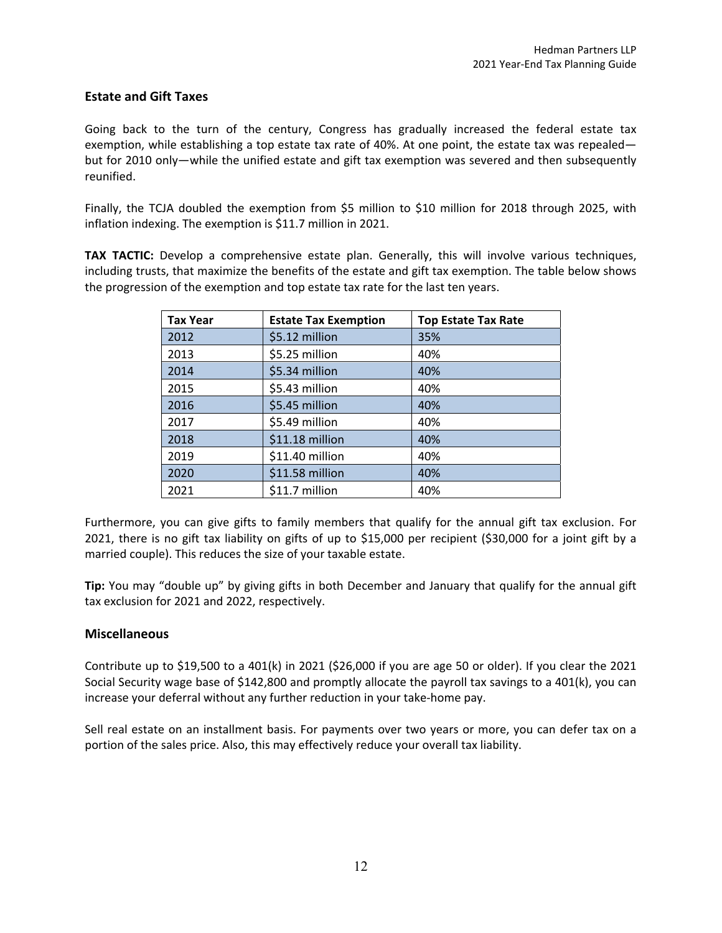# **Estate and Gift Taxes**

Going back to the turn of the century, Congress has gradually increased the federal estate tax exemption, while establishing a top estate tax rate of 40%. At one point, the estate tax was repealed but for 2010 only—while the unified estate and gift tax exemption was severed and then subsequently reunified.

Finally, the TCJA doubled the exemption from \$5 million to \$10 million for 2018 through 2025, with inflation indexing. The exemption is \$11.7 million in 2021.

**TAX TACTIC:** Develop a comprehensive estate plan. Generally, this will involve various techniques, including trusts, that maximize the benefits of the estate and gift tax exemption. The table below shows the progression of the exemption and top estate tax rate for the last ten years.

| <b>Tax Year</b> | <b>Estate Tax Exemption</b> | <b>Top Estate Tax Rate</b> |
|-----------------|-----------------------------|----------------------------|
| 2012            | \$5.12 million              | 35%                        |
| 2013            | \$5.25 million              | 40%                        |
| 2014            | \$5.34 million              | 40%                        |
| 2015            | \$5.43 million              | 40%                        |
| 2016            | \$5.45 million              | 40%                        |
| 2017            | \$5.49 million              | 40%                        |
| 2018            | \$11.18 million             | 40%                        |
| 2019            | \$11.40 million             | 40%                        |
| 2020            | \$11.58 million             | 40%                        |
| 2021            | \$11.7 million              | 40%                        |

Furthermore, you can give gifts to family members that qualify for the annual gift tax exclusion. For 2021, there is no gift tax liability on gifts of up to \$15,000 per recipient (\$30,000 for a joint gift by a married couple). This reduces the size of your taxable estate.

**Tip:** You may "double up" by giving gifts in both December and January that qualify for the annual gift tax exclusion for 2021 and 2022, respectively.

## **Miscellaneous**

Contribute up to \$19,500 to a 401(k) in 2021 (\$26,000 if you are age 50 or older). If you clear the 2021 Social Security wage base of \$142,800 and promptly allocate the payroll tax savings to a 401(k), you can increase your deferral without any further reduction in your take-home pay.

Sell real estate on an installment basis. For payments over two years or more, you can defer tax on a portion of the sales price. Also, this may effectively reduce your overall tax liability.